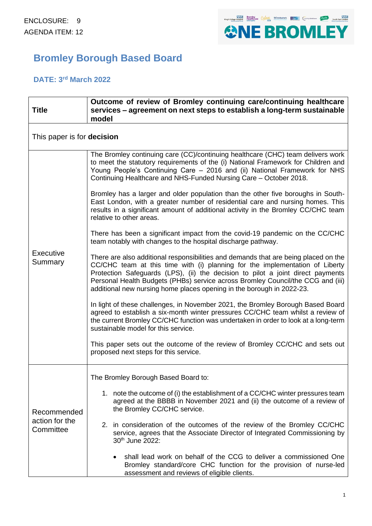

# **Bromley Borough Based Board**

## **DATE: 3 rd March 2022**

| <b>Title</b>                               | Outcome of review of Bromley continuing care/continuing healthcare<br>services – agreement on next steps to establish a long-term sustainable<br>model                                                                                                                                                                                                                                                             |  |  |  |  |
|--------------------------------------------|--------------------------------------------------------------------------------------------------------------------------------------------------------------------------------------------------------------------------------------------------------------------------------------------------------------------------------------------------------------------------------------------------------------------|--|--|--|--|
| This paper is for decision                 |                                                                                                                                                                                                                                                                                                                                                                                                                    |  |  |  |  |
| Executive<br>Summary                       | The Bromley continuing care (CC)/continuing healthcare (CHC) team delivers work<br>to meet the statutory requirements of the (i) National Framework for Children and<br>Young People's Continuing Care - 2016 and (ii) National Framework for NHS<br>Continuing Healthcare and NHS-Funded Nursing Care - October 2018.                                                                                             |  |  |  |  |
|                                            | Bromley has a larger and older population than the other five boroughs in South-<br>East London, with a greater number of residential care and nursing homes. This<br>results in a significant amount of additional activity in the Bromley CC/CHC team<br>relative to other areas.                                                                                                                                |  |  |  |  |
|                                            | There has been a significant impact from the covid-19 pandemic on the CC/CHC<br>team notably with changes to the hospital discharge pathway.                                                                                                                                                                                                                                                                       |  |  |  |  |
|                                            | There are also additional responsibilities and demands that are being placed on the<br>CC/CHC team at this time with (i) planning for the implementation of Liberty<br>Protection Safeguards (LPS), (ii) the decision to pilot a joint direct payments<br>Personal Health Budgets (PHBs) service across Bromley Council/the CCG and (iii)<br>additional new nursing home places opening in the borough in 2022-23. |  |  |  |  |
|                                            | In light of these challenges, in November 2021, the Bromley Borough Based Board<br>agreed to establish a six-month winter pressures CC/CHC team whilst a review of<br>the current Bromley CC/CHC function was undertaken in order to look at a long-term<br>sustainable model for this service.                                                                                                                    |  |  |  |  |
|                                            | This paper sets out the outcome of the review of Bromley CC/CHC and sets out<br>proposed next steps for this service.                                                                                                                                                                                                                                                                                              |  |  |  |  |
| Recommended<br>action for the<br>Committee | The Bromley Borough Based Board to:                                                                                                                                                                                                                                                                                                                                                                                |  |  |  |  |
|                                            | 1. note the outcome of (i) the establishment of a CC/CHC winter pressures team<br>agreed at the BBBB in November 2021 and (ii) the outcome of a review of<br>the Bromley CC/CHC service.                                                                                                                                                                                                                           |  |  |  |  |
|                                            | 2. in consideration of the outcomes of the review of the Bromley CC/CHC<br>service, agrees that the Associate Director of Integrated Commissioning by<br>30th June 2022:                                                                                                                                                                                                                                           |  |  |  |  |
|                                            | shall lead work on behalf of the CCG to deliver a commissioned One<br>Bromley standard/core CHC function for the provision of nurse-led<br>assessment and reviews of eligible clients.                                                                                                                                                                                                                             |  |  |  |  |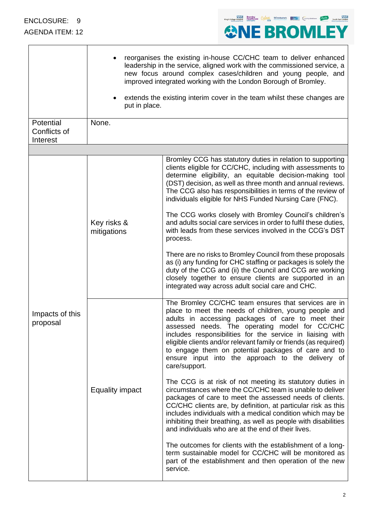

| Potential                   | reorganises the existing in-house CC/CHC team to deliver enhanced<br>leadership in the service, aligned work with the commissioned service, a<br>new focus around complex cases/children and young people, and<br>improved integrated working with the London Borough of Bromley.<br>extends the existing interim cover in the team whilst these changes are<br>put in place.<br>None. |                                                                                                                                                                                                                                                                                                                                                                                                                                                                                                                                                                                                                                                                                                                                                                                                                                                                                                                                                                                                                                                |  |
|-----------------------------|----------------------------------------------------------------------------------------------------------------------------------------------------------------------------------------------------------------------------------------------------------------------------------------------------------------------------------------------------------------------------------------|------------------------------------------------------------------------------------------------------------------------------------------------------------------------------------------------------------------------------------------------------------------------------------------------------------------------------------------------------------------------------------------------------------------------------------------------------------------------------------------------------------------------------------------------------------------------------------------------------------------------------------------------------------------------------------------------------------------------------------------------------------------------------------------------------------------------------------------------------------------------------------------------------------------------------------------------------------------------------------------------------------------------------------------------|--|
| Conflicts of<br>Interest    |                                                                                                                                                                                                                                                                                                                                                                                        |                                                                                                                                                                                                                                                                                                                                                                                                                                                                                                                                                                                                                                                                                                                                                                                                                                                                                                                                                                                                                                                |  |
|                             |                                                                                                                                                                                                                                                                                                                                                                                        |                                                                                                                                                                                                                                                                                                                                                                                                                                                                                                                                                                                                                                                                                                                                                                                                                                                                                                                                                                                                                                                |  |
| Impacts of this<br>proposal | Key risks &<br>mitigations                                                                                                                                                                                                                                                                                                                                                             | Bromley CCG has statutory duties in relation to supporting<br>clients eligible for CC/CHC, including with assessments to<br>determine eligibility, an equitable decision-making tool<br>(DST) decision, as well as three month and annual reviews.<br>The CCG also has responsibilities in terms of the review of<br>individuals eligible for NHS Funded Nursing Care (FNC).<br>The CCG works closely with Bromley Council's children's<br>and adults social care services in order to fulfil these duties,<br>with leads from these services involved in the CCG's DST<br>process.<br>There are no risks to Bromley Council from these proposals<br>as (i) any funding for CHC staffing or packages is solely the<br>duty of the CCG and (ii) the Council and CCG are working                                                                                                                                                                                                                                                                 |  |
|                             | <b>Equality impact</b>                                                                                                                                                                                                                                                                                                                                                                 | closely together to ensure clients are supported in an<br>integrated way across adult social care and CHC.<br>The Bromley CC/CHC team ensures that services are in<br>place to meet the needs of children, young people and<br>adults in accessing packages of care to meet their<br>assessed needs. The operating model for CC/CHC<br>includes responsibilities for the service in liaising with<br>eligible clients and/or relevant family or friends (as required)<br>to engage them on potential packages of care and to<br>ensure input into the approach to the delivery of<br>care/support.<br>The CCG is at risk of not meeting its statutory duties in<br>circumstances where the CC/CHC team is unable to deliver<br>packages of care to meet the assessed needs of clients.<br>CC/CHC clients are, by definition, at particular risk as this<br>includes individuals with a medical condition which may be<br>inhibiting their breathing, as well as people with disabilities<br>and individuals who are at the end of their lives. |  |
|                             |                                                                                                                                                                                                                                                                                                                                                                                        | The outcomes for clients with the establishment of a long-<br>term sustainable model for CC/CHC will be monitored as<br>part of the establishment and then operation of the new<br>service.                                                                                                                                                                                                                                                                                                                                                                                                                                                                                                                                                                                                                                                                                                                                                                                                                                                    |  |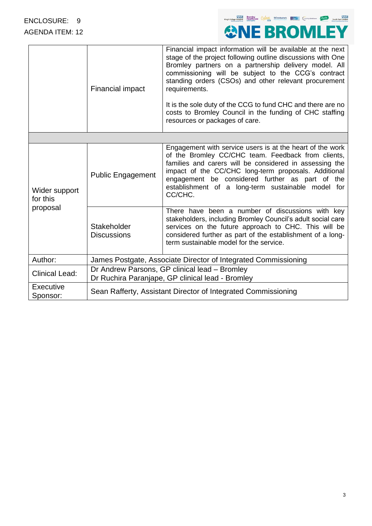

|                                       | Financial impact                                                                                  | Financial impact information will be available at the next<br>stage of the project following outline discussions with One<br>Bromley partners on a partnership delivery model. All<br>commissioning will be subject to the CCG's contract<br>standing orders (CSOs) and other relevant procurement<br>requirements.<br>It is the sole duty of the CCG to fund CHC and there are no<br>costs to Bromley Council in the funding of CHC staffing<br>resources or packages of care. |  |  |
|---------------------------------------|---------------------------------------------------------------------------------------------------|---------------------------------------------------------------------------------------------------------------------------------------------------------------------------------------------------------------------------------------------------------------------------------------------------------------------------------------------------------------------------------------------------------------------------------------------------------------------------------|--|--|
|                                       |                                                                                                   |                                                                                                                                                                                                                                                                                                                                                                                                                                                                                 |  |  |
| Wider support<br>for this<br>proposal | <b>Public Engagement</b>                                                                          | Engagement with service users is at the heart of the work<br>of the Bromley CC/CHC team. Feedback from clients,<br>families and carers will be considered in assessing the<br>impact of the CC/CHC long-term proposals. Additional<br>engagement be considered further as part of the<br>establishment of a long-term sustainable model for<br>CC/CHC.                                                                                                                          |  |  |
|                                       | Stakeholder<br><b>Discussions</b>                                                                 | There have been a number of discussions with key<br>stakeholders, including Bromley Council's adult social care<br>services on the future approach to CHC. This will be<br>considered further as part of the establishment of a long-<br>term sustainable model for the service.                                                                                                                                                                                                |  |  |
| Author:                               | James Postgate, Associate Director of Integrated Commissioning                                    |                                                                                                                                                                                                                                                                                                                                                                                                                                                                                 |  |  |
| <b>Clinical Lead:</b>                 | Dr Andrew Parsons, GP clinical lead - Bromley<br>Dr Ruchira Paranjape, GP clinical lead - Bromley |                                                                                                                                                                                                                                                                                                                                                                                                                                                                                 |  |  |
| Executive<br>Sponsor:                 | Sean Rafferty, Assistant Director of Integrated Commissioning                                     |                                                                                                                                                                                                                                                                                                                                                                                                                                                                                 |  |  |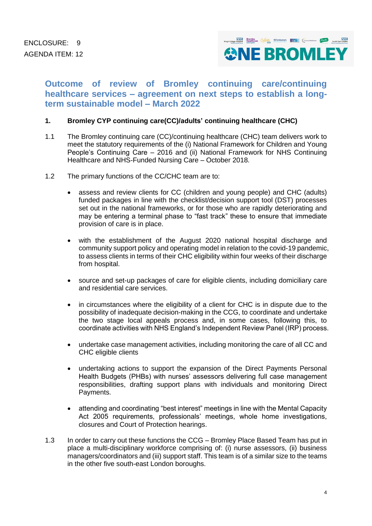

# **Outcome of review of Bromley continuing care/continuing healthcare services – agreement on next steps to establish a longterm sustainable model – March 2022**

## **1. Bromley CYP continuing care(CC)/adults' continuing healthcare (CHC)**

- 1.1 The Bromley continuing care (CC)/continuing healthcare (CHC) team delivers work to meet the statutory requirements of the (i) National Framework for Children and Young People's Continuing Care – 2016 and (ii) National Framework for NHS Continuing Healthcare and NHS-Funded Nursing Care – October 2018.
- 1.2 The primary functions of the CC/CHC team are to:
	- assess and review clients for CC (children and young people) and CHC (adults) funded packages in line with the checklist/decision support tool (DST) processes set out in the national frameworks, or for those who are rapidly deteriorating and may be entering a terminal phase to "fast track" these to ensure that immediate provision of care is in place.
	- with the establishment of the August 2020 national hospital discharge and community support policy and operating model in relation to the covid-19 pandemic, to assess clients in terms of their CHC eligibility within four weeks of their discharge from hospital.
	- source and set-up packages of care for eligible clients, including domiciliary care and residential care services.
	- in circumstances where the eligibility of a client for CHC is in dispute due to the possibility of inadequate decision-making in the CCG, to coordinate and undertake the two stage local appeals process and, in some cases, following this, to coordinate activities with NHS England's Independent Review Panel (IRP) process.
	- undertake case management activities, including monitoring the care of all CC and CHC eligible clients
	- undertaking actions to support the expansion of the Direct Payments Personal Health Budgets (PHBs) with nurses' assessors delivering full case management responsibilities, drafting support plans with individuals and monitoring Direct Payments.
	- attending and coordinating "best interest" meetings in line with the Mental Capacity Act 2005 requirements, professionals' meetings, whole home investigations, closures and Court of Protection hearings.
- 1.3 In order to carry out these functions the CCG Bromley Place Based Team has put in place a multi-disciplinary workforce comprising of: (i) nurse assessors, (ii) business managers/coordinators and (iii) support staff. This team is of a similar size to the teams in the other five south-east London boroughs.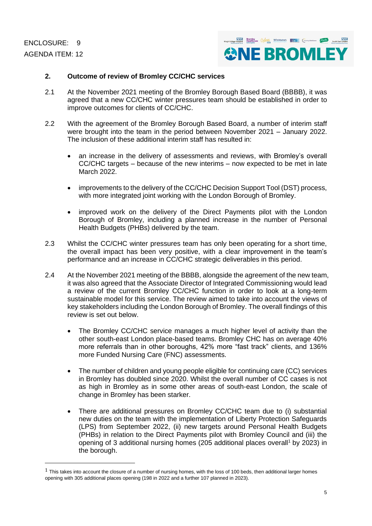ENCLOSURE: 9 AGENDA ITEM: 12



### **2. Outcome of review of Bromley CC/CHC services**

- 2.1 At the November 2021 meeting of the Bromley Borough Based Board (BBBB), it was agreed that a new CC/CHC winter pressures team should be established in order to improve outcomes for clients of CC/CHC.
- 2.2 With the agreement of the Bromley Borough Based Board, a number of interim staff were brought into the team in the period between November 2021 – January 2022. The inclusion of these additional interim staff has resulted in:
	- an increase in the delivery of assessments and reviews, with Bromley's overall CC/CHC targets – because of the new interims – now expected to be met in late March 2022.
	- improvements to the delivery of the CC/CHC Decision Support Tool (DST) process. with more integrated joint working with the London Borough of Bromley.
	- improved work on the delivery of the Direct Payments pilot with the London Borough of Bromley, including a planned increase in the number of Personal Health Budgets (PHBs) delivered by the team.
- 2.3 Whilst the CC/CHC winter pressures team has only been operating for a short time, the overall impact has been very positive, with a clear improvement in the team's performance and an increase in CC/CHC strategic deliverables in this period.
- 2.4 At the November 2021 meeting of the BBBB, alongside the agreement of the new team, it was also agreed that the Associate Director of Integrated Commissioning would lead a review of the current Bromley CC/CHC function in order to look at a long-term sustainable model for this service. The review aimed to take into account the views of key stakeholders including the London Borough of Bromley. The overall findings of this review is set out below.
	- The Bromley CC/CHC service manages a much higher level of activity than the other south-east London place-based teams. Bromley CHC has on average 40% more referrals than in other boroughs, 42% more "fast track" clients, and 136% more Funded Nursing Care (FNC) assessments.
	- The number of children and young people eligible for continuing care (CC) services in Bromley has doubled since 2020. Whilst the overall number of CC cases is not as high in Bromley as in some other areas of south-east London, the scale of change in Bromley has been starker.
	- There are additional pressures on Bromley CC/CHC team due to (i) substantial new duties on the team with the implementation of Liberty Protection Safeguards (LPS) from September 2022, (ii) new targets around Personal Health Budgets (PHBs) in relation to the Direct Payments pilot with Bromley Council and (iii) the opening of 3 additional nursing homes (205 additional places overall<sup>1</sup> by 2023) in the borough.

 $1$  This takes into account the closure of a number of nursing homes, with the loss of 100 beds, then additional larger homes opening with 305 additional places opening (198 in 2022 and a further 107 planned in 2023).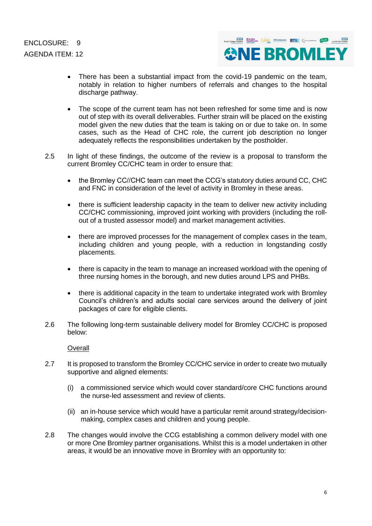

- There has been a substantial impact from the covid-19 pandemic on the team, notably in relation to higher numbers of referrals and changes to the hospital discharge pathway.
- The scope of the current team has not been refreshed for some time and is now out of step with its overall deliverables. Further strain will be placed on the existing model given the new duties that the team is taking on or due to take on. In some cases, such as the Head of CHC role, the current job description no longer adequately reflects the responsibilities undertaken by the postholder.
- 2.5 In light of these findings, the outcome of the review is a proposal to transform the current Bromley CC/CHC team in order to ensure that:
	- the Bromley CC//CHC team can meet the CCG's statutory duties around CC, CHC and FNC in consideration of the level of activity in Bromley in these areas.
	- there is sufficient leadership capacity in the team to deliver new activity including CC/CHC commissioning, improved joint working with providers (including the rollout of a trusted assessor model) and market management activities.
	- there are improved processes for the management of complex cases in the team, including children and young people, with a reduction in longstanding costly placements.
	- there is capacity in the team to manage an increased workload with the opening of three nursing homes in the borough, and new duties around LPS and PHBs.
	- there is additional capacity in the team to undertake integrated work with Bromley Council's children's and adults social care services around the delivery of joint packages of care for eligible clients.
- 2.6 The following long-term sustainable delivery model for Bromley CC/CHC is proposed below:

**Overall** 

- 2.7 It is proposed to transform the Bromley CC/CHC service in order to create two mutually supportive and aligned elements:
	- (i) a commissioned service which would cover standard/core CHC functions around the nurse-led assessment and review of clients.
	- (ii) an in-house service which would have a particular remit around strategy/decisionmaking, complex cases and children and young people.
- 2.8 The changes would involve the CCG establishing a common delivery model with one or more One Bromley partner organisations. Whilst this is a model undertaken in other areas, it would be an innovative move in Bromley with an opportunity to: